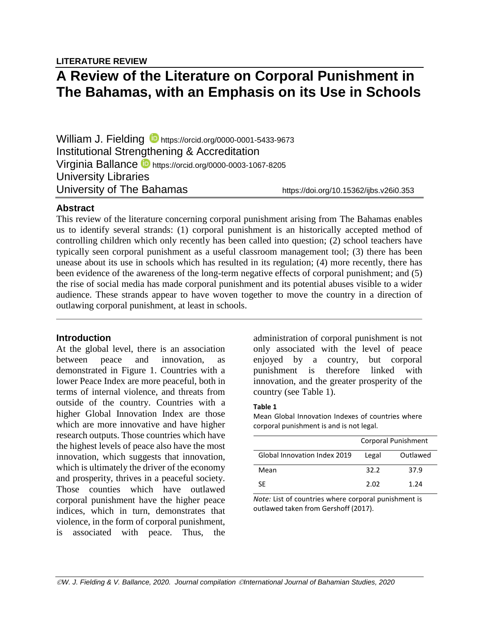**LITERATURE REVIEW**

# **A Review of the Literature on Corporal Punishment in The Bahamas, with an Emphasis on its Use in Schools**

William J. Fielding **b** <https://orcid.org/0000-0001-5433-9673> Institutional Strengthening & Accreditation Virginia Ballance  $\blacksquare$  https://orcid.org/0000-0003-1067-8205 University Libraries University of The Bahamas https://doi.org/10.15362/ijbs.v26i0.353

# **Abstract**

This review of the literature concerning corporal punishment arising from The Bahamas enables us to identify several strands: (1) corporal punishment is an historically accepted method of controlling children which only recently has been called into question; (2) school teachers have typically seen corporal punishment as a useful classroom management tool; (3) there has been unease about its use in schools which has resulted in its regulation; (4) more recently, there has been evidence of the awareness of the long-term negative effects of corporal punishment; and (5) the rise of social media has made corporal punishment and its potential abuses visible to a wider audience. These strands appear to have woven together to move the country in a direction of outlawing corporal punishment, at least in schools.

# **Introduction**

At the global level, there is an association between peace and innovation, as demonstrated in Figure 1. Countries with a lower Peace Index are more peaceful, both in terms of internal violence, and threats from outside of the country. Countries with a higher Global Innovation Index are those which are more innovative and have higher research outputs. Those countries which have the highest levels of peace also have the most innovation, which suggests that innovation, which is ultimately the driver of the economy and prosperity, thrives in a peaceful society. Those counties which have outlawed corporal punishment have the higher peace indices, which in turn, demonstrates that violence, in the form of corporal punishment, is associated with peace. Thus, the

administration of corporal punishment is not only associated with the level of peace enjoyed by a country, but corporal punishment is therefore linked with innovation, and the greater prosperity of the country (see Table 1).

### **Table 1**

Mean Global Innovation Indexes of countries where corporal punishment is and is not legal.

|                              | Corporal Punishment |          |  |
|------------------------------|---------------------|----------|--|
| Global Innovation Index 2019 | Legal               | Outlawed |  |
| Mean                         | 32.2                | 37.9     |  |
| SF                           | 2.02                | 1.24     |  |

*Note:* List of countries where corporal punishment is outlawed taken from Gershoff (2017).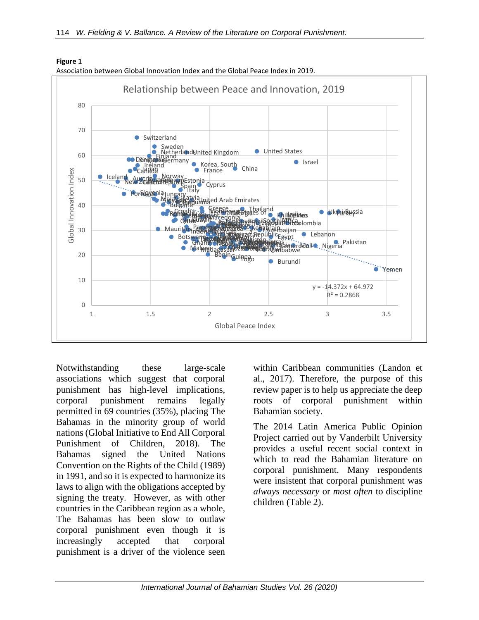

**Figure 1** Association between Global Innovation Index and the Global Peace Index in 2019.

Notwithstanding these large-scale associations which suggest that corporal punishment has high-level implications, corporal punishment remains legally permitted in 69 countries (35%), placing The Bahamas in the minority group of world nations (Global Initiative to End All Corporal Punishment of Children, 2018). The Bahamas signed the United Nations Convention on the Rights of the Child (1989) in 1991, and so it is expected to harmonize its laws to align with the obligations accepted by signing the treaty. However, as with other countries in the Caribbean region as a whole, The Bahamas has been slow to outlaw corporal punishment even though it is increasingly accepted that corporal punishment is a driver of the violence seen

within Caribbean communities (Landon et al., 2017). Therefore, the purpose of this review paper is to help us appreciate the deep roots of corporal punishment within Bahamian society.

The 2014 Latin America Public Opinion Project carried out by Vanderbilt University provides a useful recent social context in which to read the Bahamian literature on corporal punishment. Many respondents were insistent that corporal punishment was *always necessary* or *most often* to discipline children (Table 2).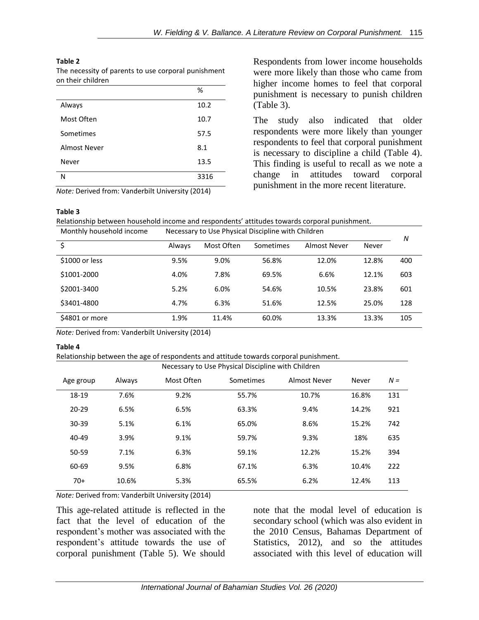(Table 3).

Respondents from lower income households were more likely than those who came from higher income homes to feel that corporal punishment is necessary to punish children

The study also indicated that older respondents were more likely than younger respondents to feel that corporal punishment is necessary to discipline a child (Table 4). This finding is useful to recall as we note a change in attitudes toward corporal punishment in the more recent literature.

### **Table 2**

The necessity of parents to use corporal punishment on their children

|              | %    |
|--------------|------|
| Always       | 10.2 |
| Most Often   | 10.7 |
| Sometimes    | 57.5 |
| Almost Never | 8.1  |
| Never        | 13.5 |
| N            | 3316 |

*Note:* Derived from: Vanderbilt University (2014)

### **Table 3**

Relationship between household income and respondents' attitudes towards corporal punishment.

| Monthly household income | Necessary to Use Physical Discipline with Children |            |           |              |       | N   |
|--------------------------|----------------------------------------------------|------------|-----------|--------------|-------|-----|
|                          | Always                                             | Most Often | Sometimes | Almost Never | Never |     |
| \$1000 or less           | 9.5%                                               | 9.0%       | 56.8%     | 12.0%        | 12.8% | 400 |
| \$1001-2000              | 4.0%                                               | 7.8%       | 69.5%     | 6.6%         | 12.1% | 603 |
| \$2001-3400              | 5.2%                                               | 6.0%       | 54.6%     | 10.5%        | 23.8% | 601 |
| \$3401-4800              | 4.7%                                               | 6.3%       | 51.6%     | 12.5%        | 25.0% | 128 |
| \$4801 or more           | 1.9%                                               | 11.4%      | 60.0%     | 13.3%        | 13.3% | 105 |

*Note:* Derived from: Vanderbilt University (2014)

### **Table 4**

Relationship between the age of respondents and attitude towards corporal punishment.

| Necessary to Use Physical Discipline with Children |        |            |           |              |       |       |  |  |  |  |
|----------------------------------------------------|--------|------------|-----------|--------------|-------|-------|--|--|--|--|
| Age group                                          | Always | Most Often | Sometimes | Almost Never | Never | $N =$ |  |  |  |  |
| 18-19                                              | 7.6%   | 9.2%       | 55.7%     | 10.7%        | 16.8% | 131   |  |  |  |  |
| $20 - 29$                                          | 6.5%   | 6.5%       | 63.3%     | 9.4%         | 14.2% | 921   |  |  |  |  |
| 30-39                                              | 5.1%   | 6.1%       | 65.0%     | 8.6%         | 15.2% | 742   |  |  |  |  |
| 40-49                                              | 3.9%   | 9.1%       | 59.7%     | 9.3%         | 18%   | 635   |  |  |  |  |
| 50-59                                              | 7.1%   | 6.3%       | 59.1%     | 12.2%        | 15.2% | 394   |  |  |  |  |
| 60-69                                              | 9.5%   | 6.8%       | 67.1%     | 6.3%         | 10.4% | 222   |  |  |  |  |
| $70+$                                              | 10.6%  | 5.3%       | 65.5%     | 6.2%         | 12.4% | 113   |  |  |  |  |

*Note:* Derived from: Vanderbilt University (2014)

This age-related attitude is reflected in the fact that the level of education of the respondent's mother was associated with the respondent's attitude towards the use of corporal punishment (Table 5). We should

note that the modal level of education is secondary school (which was also evident in the 2010 Census, Bahamas Department of Statistics, 2012), and so the attitudes associated with this level of education will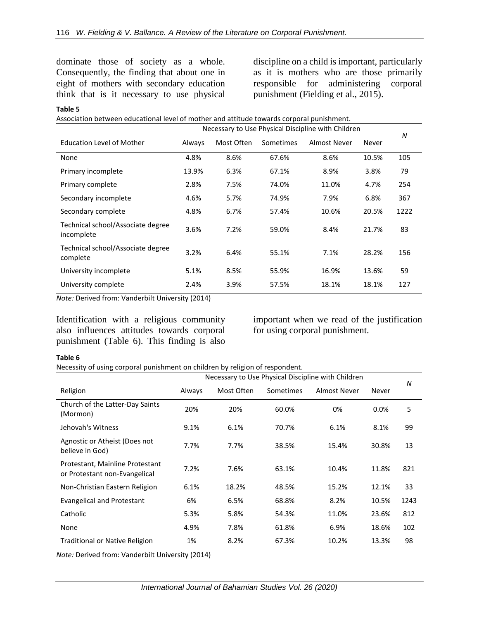dominate those of society as a whole. Consequently, the finding that about one in eight of mothers with secondary education think that is it necessary to use physical

discipline on a child is important, particularly as it is mothers who are those primarily responsible for administering corporal punishment (Fielding et al., 2015).

#### **Table 5**

|  |  |  |  | Association between educational level of mother and attitude towards corporal punishment. |
|--|--|--|--|-------------------------------------------------------------------------------------------|
|  |  |  |  |                                                                                           |

|                                                 | Necessary to Use Physical Discipline with Children |            |           |              |       | N    |
|-------------------------------------------------|----------------------------------------------------|------------|-----------|--------------|-------|------|
| <b>Education Level of Mother</b>                | Always                                             | Most Often | Sometimes | Almost Never | Never |      |
| None                                            | 4.8%                                               | 8.6%       | 67.6%     | 8.6%         | 10.5% | 105  |
| Primary incomplete                              | 13.9%                                              | 6.3%       | 67.1%     | 8.9%         | 3.8%  | 79   |
| Primary complete                                | 2.8%                                               | 7.5%       | 74.0%     | 11.0%        | 4.7%  | 254  |
| Secondary incomplete                            | 4.6%                                               | 5.7%       | 74.9%     | 7.9%         | 6.8%  | 367  |
| Secondary complete                              | 4.8%                                               | 6.7%       | 57.4%     | 10.6%        | 20.5% | 1222 |
| Technical school/Associate degree<br>incomplete | 3.6%                                               | 7.2%       | 59.0%     | 8.4%         | 21.7% | 83   |
| Technical school/Associate degree<br>complete   | 3.2%                                               | 6.4%       | 55.1%     | 7.1%         | 28.2% | 156  |
| University incomplete                           | 5.1%                                               | 8.5%       | 55.9%     | 16.9%        | 13.6% | 59   |
| University complete                             | 2.4%                                               | 3.9%       | 57.5%     | 18.1%        | 18.1% | 127  |

*Note:* Derived from: Vanderbilt University (2014)

Identification with a religious community also influences attitudes towards corporal punishment (Table 6). This finding is also

important when we read of the justification for using corporal punishment.

### **Table 6**

Necessity of using corporal punishment on children by religion of respondent.

|                                                                  | Necessary to Use Physical Discipline with Children |            |           |              |       |      |  |  |
|------------------------------------------------------------------|----------------------------------------------------|------------|-----------|--------------|-------|------|--|--|
| Religion                                                         | Always                                             | Most Often | Sometimes | Almost Never | Never | N    |  |  |
| Church of the Latter-Day Saints<br>(Mormon)                      | 20%                                                | 20%        | 60.0%     | 0%           | 0.0%  | 5    |  |  |
| Jehovah's Witness                                                | 9.1%                                               | 6.1%       | 70.7%     | 6.1%         | 8.1%  | 99   |  |  |
| Agnostic or Atheist (Does not<br>believe in God)                 | 7.7%                                               | 7.7%       | 38.5%     | 15.4%        | 30.8% | 13   |  |  |
| Protestant, Mainline Protestant<br>or Protestant non-Evangelical | 7.2%                                               | 7.6%       | 63.1%     | 10.4%        | 11.8% | 821  |  |  |
| Non-Christian Eastern Religion                                   | 6.1%                                               | 18.2%      | 48.5%     | 15.2%        | 12.1% | 33   |  |  |
| <b>Evangelical and Protestant</b>                                | 6%                                                 | 6.5%       | 68.8%     | 8.2%         | 10.5% | 1243 |  |  |
| Catholic                                                         | 5.3%                                               | 5.8%       | 54.3%     | 11.0%        | 23.6% | 812  |  |  |
| None                                                             | 4.9%                                               | 7.8%       | 61.8%     | 6.9%         | 18.6% | 102  |  |  |
| <b>Traditional or Native Religion</b>                            | 1%                                                 | 8.2%       | 67.3%     | 10.2%        | 13.3% | 98   |  |  |

*Note:* Derived from: Vanderbilt University (2014)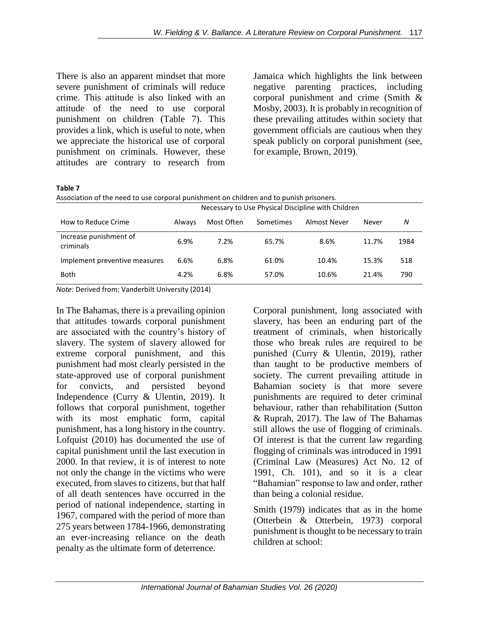There is also an apparent mindset that more severe punishment of criminals will reduce crime. This attitude is also linked with an attitude of the need to use corporal punishment on children (Table 7). This provides a link, which is useful to note, when we appreciate the historical use of corporal punishment on criminals. However, these attitudes are contrary to research from

Jamaica which highlights the link between negative parenting practices, including corporal punishment and crime (Smith & Mosby, 2003). It is probably in recognition of these prevailing attitudes within society that government officials are cautious when they speak publicly on corporal punishment (see, for example, Brown, 2019).

**Table 7**

| Association of the need to use corporal punishment on children and to punish prisoners. |  |
|-----------------------------------------------------------------------------------------|--|
|                                                                                         |  |

|                                     | Necessary to Use Physical Discipline with Children |            |           |              |       |      |  |  |
|-------------------------------------|----------------------------------------------------|------------|-----------|--------------|-------|------|--|--|
| How to Reduce Crime                 | Always                                             | Most Often | Sometimes | Almost Never | Never | N    |  |  |
| Increase punishment of<br>criminals | 6.9%                                               | 7.2%       | 65.7%     | 8.6%         | 11.7% | 1984 |  |  |
| Implement preventive measures       | 6.6%                                               | 6.8%       | 61.0%     | 10.4%        | 15.3% | 518  |  |  |
| <b>Both</b>                         | 4.2%                                               | 6.8%       | 57.0%     | 10.6%        | 21.4% | 790  |  |  |

*Note:* Derived from: Vanderbilt University (2014)

In The Bahamas, there is a prevailing opinion that attitudes towards corporal punishment are associated with the country's history of slavery. The system of slavery allowed for extreme corporal punishment, and this punishment had most clearly persisted in the state-approved use of corporal punishment for convicts, and persisted beyond Independence (Curry & Ulentin, 2019). It follows that corporal punishment, together with its most emphatic form, capital punishment, has a long history in the country. Lofquist (2010) has documented the use of capital punishment until the last execution in 2000. In that review, it is of interest to note not only the change in the victims who were executed, from slaves to citizens, but that half of all death sentences have occurred in the period of national independence, starting in 1967, compared with the period of more than 275 years between 1784-1966, demonstrating an ever-increasing reliance on the death penalty as the ultimate form of deterrence.

Corporal punishment, long associated with slavery, has been an enduring part of the treatment of criminals, when historically those who break rules are required to be punished (Curry & Ulentin, 2019), rather than taught to be productive members of society. The current prevailing attitude in Bahamian society is that more severe punishments are required to deter criminal behaviour, rather than rehabilitation (Sutton & Ruprah, 2017). The law of The Bahamas still allows the use of flogging of criminals. Of interest is that the current law regarding flogging of criminals was introduced in 1991 (Criminal Law (Measures) Act No. 12 of 1991, Ch. 101), and so it is a clear "Bahamian" response to law and order, rather than being a colonial residue.

Smith (1979) indicates that as in the home (Otterbein & Otterbein, 1973) corporal punishment is thought to be necessary to train children at school: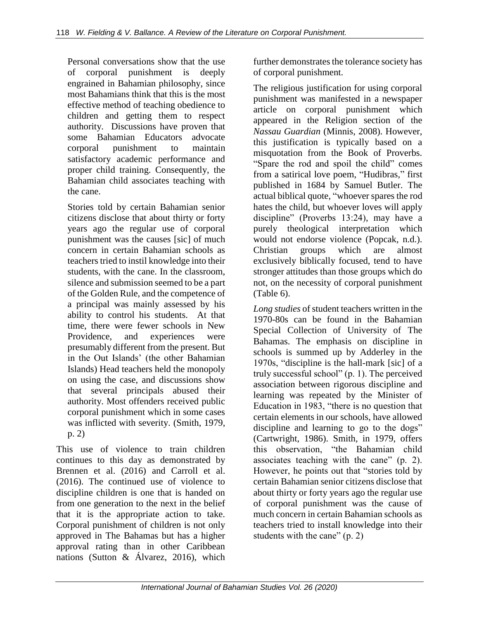Personal conversations show that the use of corporal punishment is deeply engrained in Bahamian philosophy, since most Bahamians think that this is the most effective method of teaching obedience to children and getting them to respect authority. Discussions have proven that some Bahamian Educators advocate corporal punishment to maintain satisfactory academic performance and proper child training. Consequently, the Bahamian child associates teaching with the cane.

Stories told by certain Bahamian senior citizens disclose that about thirty or forty years ago the regular use of corporal punishment was the causes [sic] of much concern in certain Bahamian schools as teachers tried to instil knowledge into their students, with the cane. In the classroom, silence and submission seemed to be a part of the Golden Rule, and the competence of a principal was mainly assessed by his ability to control his students. At that time, there were fewer schools in New Providence, and experiences were presumably different from the present. But in the Out Islands' (the other Bahamian Islands) Head teachers held the monopoly on using the case, and discussions show that several principals abused their authority. Most offenders received public corporal punishment which in some cases was inflicted with severity. (Smith, 1979, p. 2)

This use of violence to train children continues to this day as demonstrated by Brennen et al. (2016) and Carroll et al. (2016). The continued use of violence to discipline children is one that is handed on from one generation to the next in the belief that it is the appropriate action to take. Corporal punishment of children is not only approved in The Bahamas but has a higher approval rating than in other Caribbean nations (Sutton & Álvarez, 2016), which

further demonstrates the tolerance society has of corporal punishment.

The religious justification for using corporal punishment was manifested in a newspaper article on corporal punishment which appeared in the Religion section of the *Nassau Guardian* (Minnis, 2008). However, this justification is typically based on a misquotation from the Book of Proverbs. "Spare the rod and spoil the child" comes from a satirical love poem, "Hudibras*,*" first published in 1684 by Samuel Butler. The actual biblical quote, "whoever spares the rod hates the child, but whoever loves will apply discipline" (Proverbs 13:24), may have a purely theological interpretation which would not endorse violence (Popcak, n.d.). Christian groups which are almost exclusively biblically focused, tend to have stronger attitudes than those groups which do not, on the necessity of corporal punishment (Table 6).

*Long studies* of student teachers written in the 1970-80s can be found in the Bahamian Special Collection of University of The Bahamas. The emphasis on discipline in schools is summed up by Adderley in the 1970s, "discipline is the hall-mark [sic] of a truly successful school" (p. 1). The perceived association between rigorous discipline and learning was repeated by the Minister of Education in 1983, "there is no question that certain elements in our schools, have allowed discipline and learning to go to the dogs" (Cartwright, 1986). Smith, in 1979, offers this observation, "the Bahamian child associates teaching with the cane" (p. 2). However, he points out that "stories told by certain Bahamian senior citizens disclose that about thirty or forty years ago the regular use of corporal punishment was the cause of much concern in certain Bahamian schools as teachers tried to install knowledge into their students with the cane" (p. 2)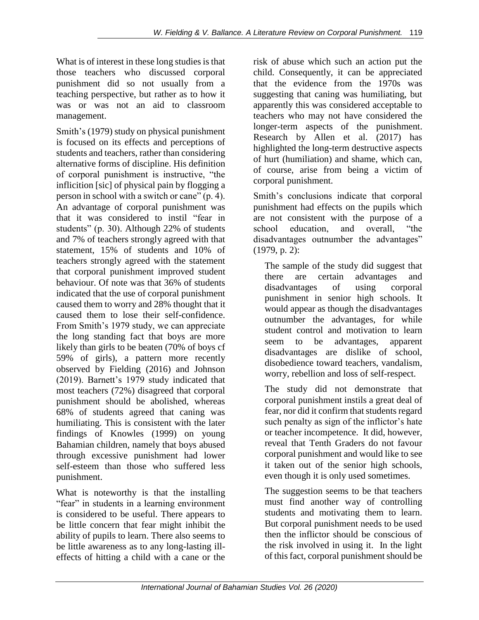What is of interest in these long studies is that those teachers who discussed corporal punishment did so not usually from a teaching perspective, but rather as to how it was or was not an aid to classroom management.

Smith's (1979) study on physical punishment is focused on its effects and perceptions of students and teachers, rather than considering alternative forms of discipline. His definition of corporal punishment is instructive, "the inflicition [sic] of physical pain by flogging a person in school with a switch or cane" (p. 4). An advantage of corporal punishment was that it was considered to instil "fear in students" (p. 30). Although 22% of students and 7% of teachers strongly agreed with that statement, 15% of students and 10% of teachers strongly agreed with the statement that corporal punishment improved student behaviour. Of note was that 36% of students indicated that the use of corporal punishment caused them to worry and 28% thought that it caused them to lose their self-confidence. From Smith's 1979 study, we can appreciate the long standing fact that boys are more likely than girls to be beaten (70% of boys cf 59% of girls), a pattern more recently observed by Fielding (2016) and Johnson (2019). Barnett's 1979 study indicated that most teachers (72%) disagreed that corporal punishment should be abolished, whereas 68% of students agreed that caning was humiliating. This is consistent with the later findings of Knowles (1999) on young Bahamian children, namely that boys abused through excessive punishment had lower self-esteem than those who suffered less punishment.

What is noteworthy is that the installing "fear" in students in a learning environment is considered to be useful. There appears to be little concern that fear might inhibit the ability of pupils to learn. There also seems to be little awareness as to any long-lasting illeffects of hitting a child with a cane or the risk of abuse which such an action put the child. Consequently, it can be appreciated that the evidence from the 1970s was suggesting that caning was humiliating, but apparently this was considered acceptable to teachers who may not have considered the longer-term aspects of the punishment. Research by Allen et al. (2017) has highlighted the long-term destructive aspects of hurt (humiliation) and shame, which can, of course, arise from being a victim of corporal punishment.

Smith's conclusions indicate that corporal punishment had effects on the pupils which are not consistent with the purpose of a school education, and overall, "the disadvantages outnumber the advantages" (1979, p. 2):

The sample of the study did suggest that there are certain advantages and disadvantages of using corporal punishment in senior high schools. It would appear as though the disadvantages outnumber the advantages, for while student control and motivation to learn seem to be advantages, apparent disadvantages are dislike of school, disobedience toward teachers, vandalism, worry, rebellion and loss of self-respect.

The study did not demonstrate that corporal punishment instils a great deal of fear, nor did it confirm that students regard such penalty as sign of the inflictor's hate or teacher incompetence. It did, however, reveal that Tenth Graders do not favour corporal punishment and would like to see it taken out of the senior high schools, even though it is only used sometimes.

The suggestion seems to be that teachers must find another way of controlling students and motivating them to learn. But corporal punishment needs to be used then the inflictor should be conscious of the risk involved in using it. In the light of this fact, corporal punishment should be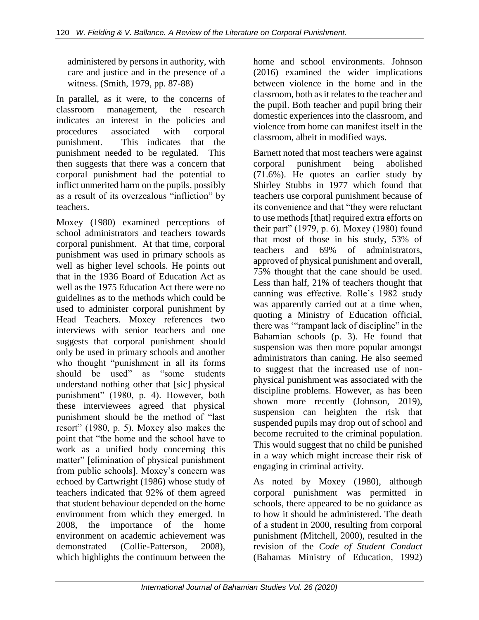administered by persons in authority, with care and justice and in the presence of a witness. (Smith, 1979, pp. 87-88)

In parallel, as it were, to the concerns of classroom management, the research indicates an interest in the policies and procedures associated with corporal punishment. This indicates that the punishment needed to be regulated. This then suggests that there was a concern that corporal punishment had the potential to inflict unmerited harm on the pupils, possibly as a result of its overzealous "infliction" by teachers.

Moxey (1980) examined perceptions of school administrators and teachers towards corporal punishment. At that time, corporal punishment was used in primary schools as well as higher level schools. He points out that in the 1936 Board of Education Act as well as the 1975 Education Act there were no guidelines as to the methods which could be used to administer corporal punishment by Head Teachers. Moxey references two interviews with senior teachers and one suggests that corporal punishment should only be used in primary schools and another who thought "punishment in all its forms should be used" as "some students understand nothing other that [sic] physical punishment" (1980, p. 4). However, both these interviewees agreed that physical punishment should be the method of "last resort" (1980, p. 5). Moxey also makes the point that "the home and the school have to work as a unified body concerning this matter" [elimination of physical punishment from public schools]. Moxey's concern was echoed by Cartwright (1986) whose study of teachers indicated that 92% of them agreed that student behaviour depended on the home environment from which they emerged. In 2008, the importance of the home environment on academic achievement was demonstrated (Collie-Patterson, 2008), which highlights the continuum between the

home and school environments. Johnson (2016) examined the wider implications between violence in the home and in the classroom, both as it relates to the teacher and the pupil. Both teacher and pupil bring their domestic experiences into the classroom, and violence from home can manifest itself in the classroom, albeit in modified ways.

Barnett noted that most teachers were against corporal punishment being abolished (71.6%). He quotes an earlier study by Shirley Stubbs in 1977 which found that teachers use corporal punishment because of its convenience and that "they were reluctant to use methods [that] required extra efforts on their part" (1979, p. 6). Moxey (1980) found that most of those in his study, 53% of teachers and 69% of administrators, approved of physical punishment and overall, 75% thought that the cane should be used. Less than half, 21% of teachers thought that canning was effective. Rolle's 1982 study was apparently carried out at a time when, quoting a Ministry of Education official, there was '"rampant lack of discipline" in the Bahamian schools (p. 3). He found that suspension was then more popular amongst administrators than caning. He also seemed to suggest that the increased use of nonphysical punishment was associated with the discipline problems. However, as has been shown more recently (Johnson, 2019), suspension can heighten the risk that suspended pupils may drop out of school and become recruited to the criminal population. This would suggest that no child be punished in a way which might increase their risk of engaging in criminal activity.

As noted by Moxey (1980), although corporal punishment was permitted in schools, there appeared to be no guidance as to how it should be administered. The death of a student in 2000, resulting from corporal punishment (Mitchell, 2000), resulted in the revision of the *Code of Student Conduct* (Bahamas Ministry of Education, 1992)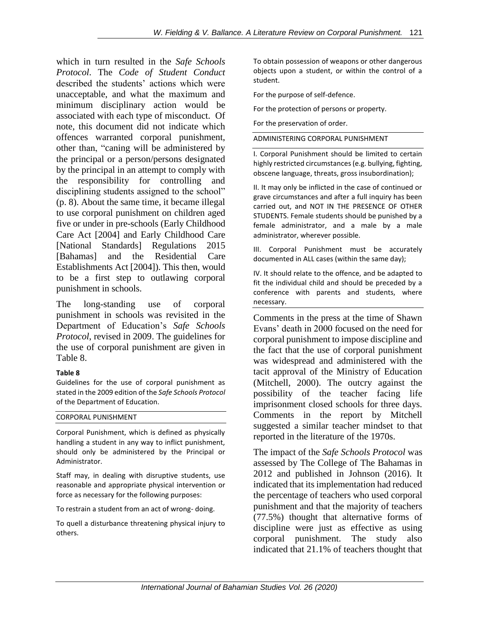which in turn resulted in the *Safe Schools Protocol*. The *Code of Student Conduct* described the students' actions which were unacceptable, and what the maximum and minimum disciplinary action would be associated with each type of misconduct. Of note, this document did not indicate which offences warranted corporal punishment, other than, "caning will be administered by the principal or a person/persons designated by the principal in an attempt to comply with the responsibility for controlling and disciplining students assigned to the school" (p. 8). About the same time, it became illegal to use corporal punishment on children aged five or under in pre-schools (Early Childhood Care Act [2004] and Early Childhood Care [National Standards] Regulations 2015 [Bahamas] and the Residential Care Establishments Act [2004]). This then, would to be a first step to outlawing corporal punishment in schools.

The long-standing use of corporal punishment in schools was revisited in the Department of Education's *Safe Schools Protocol*, revised in 2009. The guidelines for the use of corporal punishment are given in Table 8.

### **Table 8**

Guidelines for the use of corporal punishment as stated in the 2009 edition of the *Safe Schools Protocol* of the Department of Education.

### CORPORAL PUNISHMENT

Corporal Punishment, which is defined as physically handling a student in any way to inflict punishment, should only be administered by the Principal or Administrator.

Staff may, in dealing with disruptive students, use reasonable and appropriate physical intervention or force as necessary for the following purposes:

To restrain a student from an act of wrong- doing.

To quell a disturbance threatening physical injury to others.

To obtain possession of weapons or other dangerous objects upon a student, or within the control of a student.

For the purpose of self-defence.

For the protection of persons or property.

For the preservation of order.

### ADMINISTERING CORPORAL PUNISHMENT

I. Corporal Punishment should be limited to certain highly restricted circumstances (e.g. bullying, fighting, obscene language, threats, gross insubordination);

II. It may only be inflicted in the case of continued or grave circumstances and after a full inquiry has been carried out, and NOT IN THE PRESENCE OF OTHER STUDENTS. Female students should be punished by a female administrator, and a male by a male administrator, wherever possible.

III. Corporal Punishment must be accurately documented in ALL cases (within the same day);

IV. It should relate to the offence, and be adapted to fit the individual child and should be preceded by a conference with parents and students, where necessary.

Comments in the press at the time of Shawn Evans' death in 2000 focused on the need for corporal punishment to impose discipline and the fact that the use of corporal punishment was widespread and administered with the tacit approval of the Ministry of Education (Mitchell, 2000). The outcry against the possibility of the teacher facing life imprisonment closed schools for three days. Comments in the report by Mitchell suggested a similar teacher mindset to that reported in the literature of the 1970s.

The impact of the *Safe Schools Protocol* was assessed by The College of The Bahamas in 2012 and published in Johnson (2016). It indicated that its implementation had reduced the percentage of teachers who used corporal punishment and that the majority of teachers (77.5%) thought that alternative forms of discipline were just as effective as using corporal punishment. The study also indicated that 21.1% of teachers thought that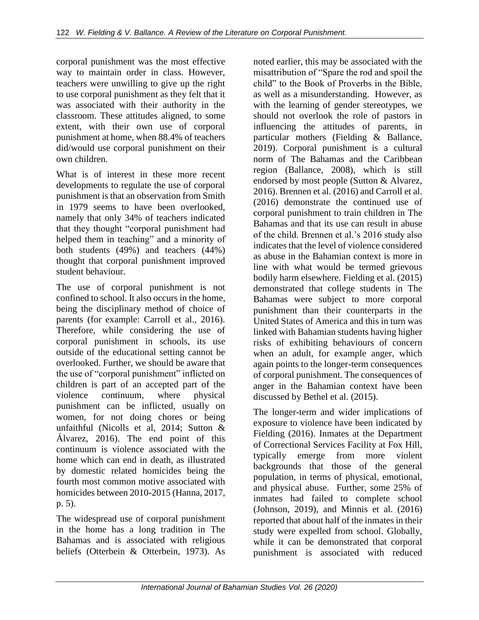corporal punishment was the most effective way to maintain order in class. However, teachers were unwilling to give up the right to use corporal punishment as they felt that it was associated with their authority in the classroom. These attitudes aligned, to some extent, with their own use of corporal punishment at home, when 88.4% of teachers did/would use corporal punishment on their own children.

What is of interest in these more recent developments to regulate the use of corporal punishment is that an observation from Smith in 1979 seems to have been overlooked, namely that only 34% of teachers indicated that they thought "corporal punishment had helped them in teaching" and a minority of both students (49%) and teachers (44%) thought that corporal punishment improved student behaviour.

The use of corporal punishment is not confined to school. It also occurs in the home, being the disciplinary method of choice of parents (for example: Carroll et al., 2016). Therefore, while considering the use of corporal punishment in schools, its use outside of the educational setting cannot be overlooked. Further, we should be aware that the use of "corporal punishment" inflicted on children is part of an accepted part of the violence continuum, where physical punishment can be inflicted, usually on women, for not doing chores or being unfaithful (Nicolls et al, 2014; Sutton & Álvarez, 2016). The end point of this continuum is violence associated with the home which can end in death, as illustrated by domestic related homicides being the fourth most common motive associated with homicides between 2010-2015 (Hanna, 2017, p. 5).

The widespread use of corporal punishment in the home has a long tradition in The Bahamas and is associated with religious beliefs (Otterbein & Otterbein, 1973). As

noted earlier, this may be associated with the misattribution of "Spare the rod and spoil the child" to the Book of Proverbs in the Bible, as well as a misunderstanding. However, as with the learning of gender stereotypes, we should not overlook the role of pastors in influencing the attitudes of parents, in particular mothers (Fielding & Ballance, 2019). Corporal punishment is a cultural norm of The Bahamas and the Caribbean region (Ballance, 2008), which is still endorsed by most people (Sutton & Alvarez, 2016). Brennen et al. (2016) and Carroll et al. (2016) demonstrate the continued use of corporal punishment to train children in The Bahamas and that its use can result in abuse of the child. Brennen et al.'s 2016 study also indicates that the level of violence considered as abuse in the Bahamian context is more in line with what would be termed grievous bodily harm elsewhere. Fielding et al. (2015) demonstrated that college students in The Bahamas were subject to more corporal punishment than their counterparts in the United States of America and this in turn was linked with Bahamian students having higher risks of exhibiting behaviours of concern when an adult, for example anger, which again points to the longer-term consequences of corporal punishment. The consequences of anger in the Bahamian context have been discussed by Bethel et al. (2015).

The longer-term and wider implications of exposure to violence have been indicated by Fielding (2016). Inmates at the Department of Correctional Services Facility at Fox Hill, typically emerge from more violent backgrounds that those of the general population, in terms of physical, emotional, and physical abuse. Further, some 25% of inmates had failed to complete school (Johnson, 2019), and Minnis et al. (2016) reported that about half of the inmates in their study were expelled from school. Globally, while it can be demonstrated that corporal punishment is associated with reduced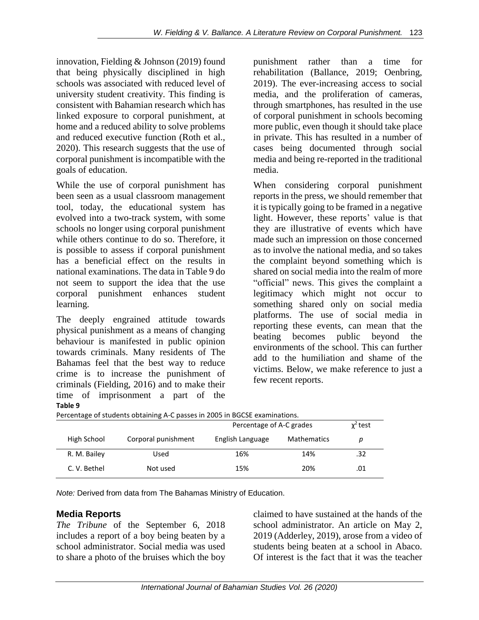innovation, Fielding & Johnson (2019) found that being physically disciplined in high schools was associated with reduced level of university student creativity. This finding is consistent with Bahamian research which has linked exposure to corporal punishment, at home and a reduced ability to solve problems and reduced executive function (Roth et al., 2020). This research suggests that the use of corporal punishment is incompatible with the goals of education.

While the use of corporal punishment has been seen as a usual classroom management tool, today, the educational system has evolved into a two-track system, with some schools no longer using corporal punishment while others continue to do so. Therefore, it is possible to assess if corporal punishment has a beneficial effect on the results in national examinations. The data in Table 9 do not seem to support the idea that the use corporal punishment enhances student learning.

The deeply engrained attitude towards physical punishment as a means of changing behaviour is manifested in public opinion towards criminals. Many residents of The Bahamas feel that the best way to reduce crime is to increase the punishment of criminals (Fielding, 2016) and to make their time of imprisonment a part of the **Table 9**

punishment rather than a time for rehabilitation (Ballance, 2019; Oenbring, 2019). The ever-increasing access to social media, and the proliferation of cameras, through smartphones, has resulted in the use of corporal punishment in schools becoming more public, even though it should take place in private. This has resulted in a number of cases being documented through social media and being re-reported in the traditional media.

When considering corporal punishment reports in the press, we should remember that it is typically going to be framed in a negative light. However, these reports' value is that they are illustrative of events which have made such an impression on those concerned as to involve the national media, and so takes the complaint beyond something which is shared on social media into the realm of more "official" news. This gives the complaint a legitimacy which might not occur to something shared only on social media platforms. The use of social media in reporting these events, can mean that the beating becomes public beyond the environments of the school. This can further add to the humiliation and shame of the victims. Below, we make reference to just a few recent reports.

|              |                     | Percentage of A-C grades | $x^2$ test         |     |  |  |  |  |
|--------------|---------------------|--------------------------|--------------------|-----|--|--|--|--|
| High School  | Corporal punishment | English Language         | <b>Mathematics</b> | D   |  |  |  |  |
| R. M. Bailey | Used                | 16%                      | 14%                | .32 |  |  |  |  |
| C. V. Bethel | Not used            | 15%                      | 20%                | .01 |  |  |  |  |

Percentage of students obtaining A-C passes in 2005 in BGCSE examinations.

*Note:* Derived from data from The Bahamas Ministry of Education.

# **Media Reports**

*The Tribune* of the September 6, 2018 includes a report of a boy being beaten by a school administrator. Social media was used to share a photo of the bruises which the boy claimed to have sustained at the hands of the school administrator. An article on May 2, 2019 (Adderley, 2019), arose from a video of students being beaten at a school in Abaco. Of interest is the fact that it was the teacher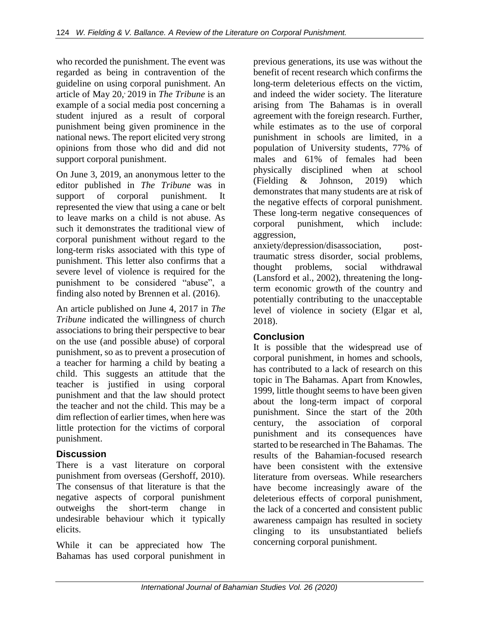who recorded the punishment. The event was regarded as being in contravention of the guideline on using corporal punishment. An article of May 20, , 2019 in *The Tribune* is an example of a social media post concerning a student injured as a result of corporal punishment being given prominence in the national news. The report elicited very strong opinions from those who did and did not support corporal punishment.

On June 3, 2019, an anonymous letter to the editor published in *The Tribune* was in support of corporal punishment. It represented the view that using a cane or belt to leave marks on a child is not abuse. As such it demonstrates the traditional view of corporal punishment without regard to the long-term risks associated with this type of punishment. This letter also confirms that a severe level of violence is required for the punishment to be considered "abuse", a finding also noted by Brennen et al. (2016).

An article published on June 4, 2017 in *The Tribune* indicated the willingness of church associations to bring their perspective to bear on the use (and possible abuse) of corporal punishment, so as to prevent a prosecution of a teacher for harming a child by beating a child. This suggests an attitude that the teacher is justified in using corporal punishment and that the law should protect the teacher and not the child. This may be a dim reflection of earlier times, when here was little protection for the victims of corporal punishment.

# **Discussion**

There is a vast literature on corporal punishment from overseas (Gershoff, 2010). The consensus of that literature is that the negative aspects of corporal punishment outweighs the short-term change in undesirable behaviour which it typically elicits.

While it can be appreciated how The Bahamas has used corporal punishment in

previous generations, its use was without the benefit of recent research which confirms the long-term deleterious effects on the victim, and indeed the wider society. The literature arising from The Bahamas is in overall agreement with the foreign research. Further, while estimates as to the use of corporal punishment in schools are limited, in a population of University students, 77% of males and 61% of females had been physically disciplined when at school (Fielding & Johnson, 2019) which demonstrates that many students are at risk of the negative effects of corporal punishment. These long-term negative consequences of corporal punishment, which include: aggression,

anxiety/depression/disassociation, posttraumatic stress disorder, social problems, thought problems, social withdrawal (Lansford et al., 2002), threatening the longterm economic growth of the country and potentially contributing to the unacceptable level of violence in society (Elgar et al, 2018).

# **Conclusion**

It is possible that the widespread use of corporal punishment, in homes and schools, has contributed to a lack of research on this topic in The Bahamas. Apart from Knowles, 1999, little thought seems to have been given about the long-term impact of corporal punishment. Since the start of the 20th century, the association of corporal punishment and its consequences have started to be researched in The Bahamas. The results of the Bahamian-focused research have been consistent with the extensive literature from overseas. While researchers have become increasingly aware of the deleterious effects of corporal punishment, the lack of a concerted and consistent public awareness campaign has resulted in society clinging to its unsubstantiated beliefs concerning corporal punishment.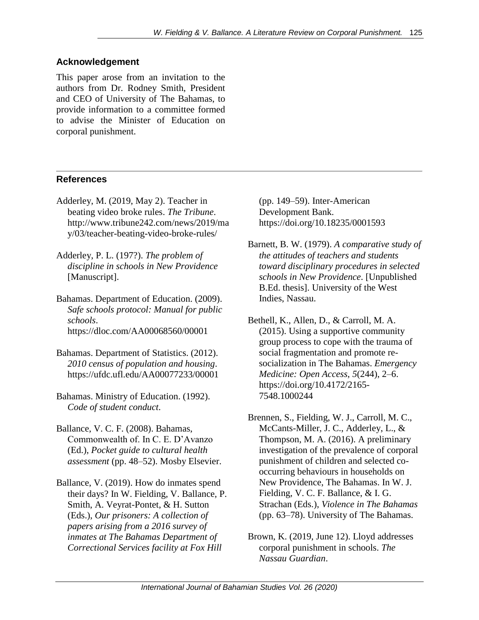# **Acknowledgement**

This paper arose from an invitation to the authors from Dr. Rodney Smith, President and CEO of University of The Bahamas, to provide information to a committee formed to advise the Minister of Education on corporal punishment.

# **References**

- Adderley, M. (2019, May 2). Teacher in beating video broke rules. *The Tribune*. http://www.tribune242.com/news/2019/ma y/03/teacher-beating-video-broke-rules/
- Adderley, P. L. (197?). *The problem of discipline in schools in New Providence* [Manuscript].
- Bahamas. Department of Education. (2009). *Safe schools protocol: Manual for public schools*. https://dloc.com/AA00068560/00001
- Bahamas. Department of Statistics. (2012). *2010 census of population and housing*. https://ufdc.ufl.edu/AA00077233/00001
- Bahamas. Ministry of Education. (1992). *Code of student conduct*.
- Ballance, V. C. F. (2008). Bahamas, Commonwealth of. In C. E. D'Avanzo (Ed.), *Pocket guide to cultural health assessment* (pp. 48–52). Mosby Elsevier.
- Ballance, V. (2019). How do inmates spend their days? In W. Fielding, V. Ballance, P. Smith, A. Veyrat-Pontet, & H. Sutton (Eds.), *Our prisoners: A collection of papers arising from a 2016 survey of inmates at The Bahamas Department of Correctional Services facility at Fox Hill*

(pp. 149–59). Inter-American Development Bank. https://doi.org/10.18235/0001593

Barnett, B. W. (1979). *A comparative study of the attitudes of teachers and students toward disciplinary procedures in selected schools in New Providence*. [Unpublished B.Ed. thesis]. University of the West Indies, Nassau.

Bethell, K., Allen, D., & Carroll, M. A. (2015). Using a supportive community group process to cope with the trauma of social fragmentation and promote resocialization in The Bahamas. *Emergency Medicine: Open Access*, *5*(244), 2–6. https://doi.org/10.4172/2165- 7548.1000244

- Brennen, S., Fielding, W. J., Carroll, M. C., McCants-Miller, J. C., Adderley, L., & Thompson, M. A. (2016). A preliminary investigation of the prevalence of corporal punishment of children and selected cooccurring behaviours in households on New Providence, The Bahamas. In W. J. Fielding, V. C. F. Ballance, & I. G. Strachan (Eds.), *Violence in The Bahamas* (pp. 63–78). University of The Bahamas.
- Brown, K. (2019, June 12). Lloyd addresses corporal punishment in schools. *The Nassau Guardian*.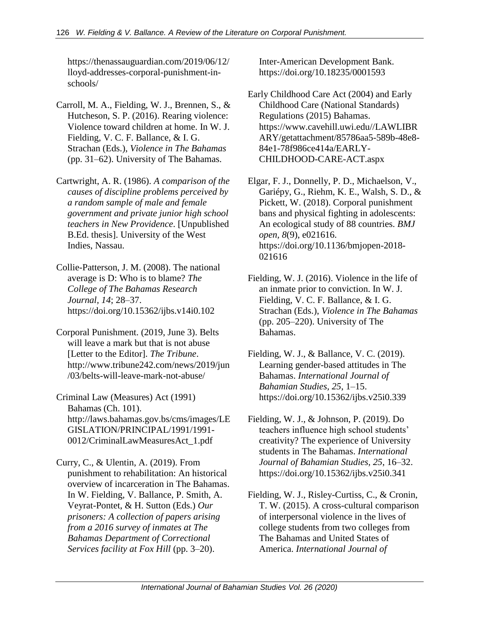https://thenassauguardian.com/2019/06/12/ lloyd-addresses-corporal-punishment-inschools/

- Carroll, M. A., Fielding, W. J., Brennen, S., & Hutcheson, S. P. (2016). Rearing violence: Violence toward children at home. In W. J. Fielding, V. C. F. Ballance, & I. G. Strachan (Eds.), *Violence in The Bahamas* (pp. 31–62). University of The Bahamas.
- Cartwright, A. R. (1986). *A comparison of the causes of discipline problems perceived by a random sample of male and female government and private junior high school teachers in New Providence*. [Unpublished B.Ed. thesis]. University of the West Indies, Nassau.
- Collie-Patterson, J. M. (2008). The national average is D: Who is to blame? *The College of The Bahamas Research Journal, 14*; 28–37. https://doi.org/10.15362/ijbs.v14i0.102
- Corporal Punishment. (2019, June 3). Belts will leave a mark but that is not abuse [Letter to the Editor]. *The Tribune*. http://www.tribune242.com/news/2019/jun /03/belts-will-leave-mark-not-abuse/
- Criminal Law (Measures) Act (1991) Bahamas (Ch. 101). http://laws.bahamas.gov.bs/cms/images/LE GISLATION/PRINCIPAL/1991/1991- 0012/CriminalLawMeasuresAct\_1.pdf
- Curry, C., & Ulentin, A. (2019). From punishment to rehabilitation: An historical overview of incarceration in The Bahamas. In W. Fielding, V. Ballance, P. Smith, A. Veyrat-Pontet, & H. Sutton (Eds.) *Our prisoners: A collection of papers arising from a 2016 survey of inmates at The Bahamas Department of Correctional Services facility at Fox Hill* (pp. 3–20).

Inter-American Development Bank. https://doi.org/10.18235/0001593

- Early Childhood Care Act (2004) and Early Childhood Care (National Standards) Regulations (2015) Bahamas. https://www.cavehill.uwi.edu//LAWLIBR ARY/getattachment/85786aa5-589b-48e8- 84e1-78f986ce414a/EARLY-CHILDHOOD-CARE-ACT.aspx
- Elgar, F. J., Donnelly, P. D., Michaelson, V., Gariépy, G., Riehm, K. E., Walsh, S. D., & Pickett, W. (2018). Corporal punishment bans and physical fighting in adolescents: An ecological study of 88 countries. *BMJ open, 8*(9), e021616. https://doi.org/10.1136/bmjopen-2018- 021616
- Fielding, W. J. (2016). Violence in the life of an inmate prior to conviction. In W. J. Fielding, V. C. F. Ballance, & I. G. Strachan (Eds.), *Violence in The Bahamas* (pp. 205–220). University of The Bahamas.
- Fielding, W. J., & Ballance, V. C. (2019). Learning gender-based attitudes in The Bahamas. *International Journal of Bahamian Studies, 25*, 1–15. https://doi.org/10.15362/ijbs.v25i0.339
- Fielding, W. J., & Johnson, P. (2019). Do teachers influence high school students' creativity? The experience of University students in The Bahamas. *International Journal of Bahamian Studies, 25*, 16–32. https://doi.org/10.15362/ijbs.v25i0.341
- Fielding, W. J., Risley-Curtiss, C., & Cronin, T. W. (2015). A cross-cultural comparison of interpersonal violence in the lives of college students from two colleges from The Bahamas and United States of America. *International Journal of*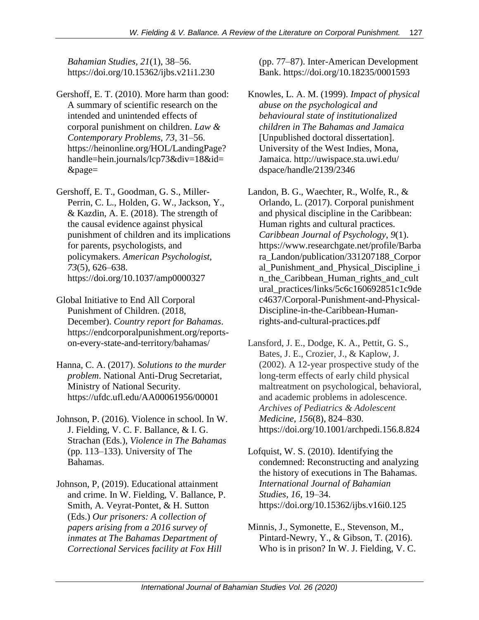*Bahamian Studies, 21*(1), 38–56. https://doi.org/10.15362/ijbs.v21i1.230

- Gershoff, E. T. (2010). More harm than good: A summary of scientific research on the intended and unintended effects of corporal punishment on children. *Law & Contemporary Problems, 73*, 31–56. https://heinonline.org/HOL/LandingPage? handle=hein.journals/lcp73&div=18&id= &page=
- Gershoff, E. T., Goodman, G. S., Miller-Perrin, C. L., Holden, G. W., Jackson, Y., & Kazdin, A. E. (2018). The strength of the causal evidence against physical punishment of children and its implications for parents, psychologists, and policymakers. *American Psychologist, 73*(5), 626–638. https://doi.org/10.1037/amp0000327
- Global Initiative to End All Corporal Punishment of Children. (2018, December). *Country report for Bahamas*. https://endcorporalpunishment.org/reportson-every-state-and-territory/bahamas/
- Hanna, C. A. (2017). *Solutions to the murder problem*. National Anti-Drug Secretariat, Ministry of National Security. https://ufdc.ufl.edu/AA00061956/00001
- Johnson, P. (2016). Violence in school. In W. J. Fielding, V. C. F. Ballance, & I. G. Strachan (Eds.), *Violence in The Bahamas* (pp. 113–133). University of The Bahamas.
- Johnson, P, (2019). Educational attainment and crime. In W. Fielding, V. Ballance, P. Smith, A. Veyrat-Pontet, & H. Sutton (Eds.) *Our prisoners: A collection of papers arising from a 2016 survey of inmates at The Bahamas Department of Correctional Services facility at Fox Hill*

(pp. 77–87). Inter-American Development Bank. https://doi.org/10.18235/0001593

- Knowles, L. A. M. (1999). *Impact of physical abuse on the psychological and behavioural state of institutionalized children in The Bahamas and Jamaica* [Unpublished doctoral dissertation]. University of the West Indies, Mona, Jamaica. http://uwispace.sta.uwi.edu/ dspace/handle/2139/2346
- Landon, B. G., Waechter, R., Wolfe, R., & Orlando, L. (2017). Corporal punishment and physical discipline in the Caribbean: Human rights and cultural practices. *Caribbean Journal of Psychology*, *9*(1). https://www.researchgate.net/profile/Barba ra\_Landon/publication/331207188\_Corpor al\_Punishment\_and\_Physical\_Discipline\_i n\_the\_Caribbean\_Human\_rights\_and\_cult ural\_practices/links/5c6c160692851c1c9de c4637/Corporal-Punishment-and-Physical-Discipline-in-the-Caribbean-Humanrights-and-cultural-practices.pdf
- Lansford, J. E., Dodge, K. A., Pettit, G. S., Bates, J. E., Crozier, J., & Kaplow, J. (2002). A 12-year prospective study of the long-term effects of early child physical maltreatment on psychological, behavioral, and academic problems in adolescence. *Archives of Pediatrics & Adolescent Medicine*, *156*(8), 824–830. https://doi.org/10.1001/archpedi.156.8.824
- Lofquist, W. S. (2010). Identifying the condemned: Reconstructing and analyzing the history of executions in The Bahamas. *International Journal of Bahamian Studies, 16,* 19–34. https://doi.org/10.15362/ijbs.v16i0.125
- Minnis, J., Symonette, E., Stevenson, M., Pintard-Newry, Y., & Gibson, T. (2016). Who is in prison? In W. J. Fielding, V. C.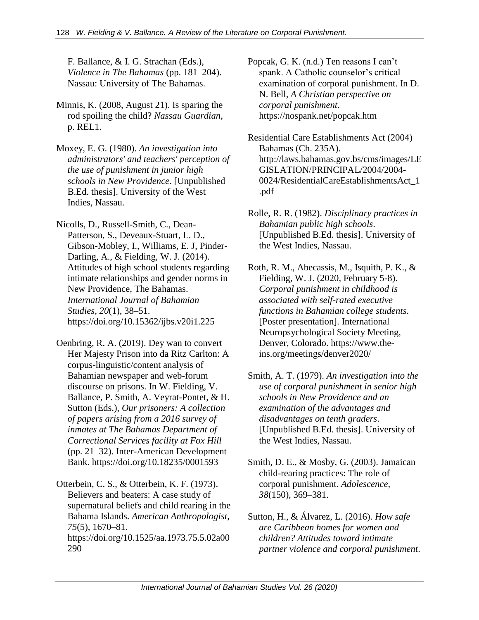F. Ballance, & I. G. Strachan (Eds.), *Violence in The Bahamas* (pp. 181–204). Nassau: University of The Bahamas.

- Minnis, K. (2008, August 21). Is sparing the rod spoiling the child? *Nassau Guardian*, p. REL1.
- Moxey, E. G. (1980). *An investigation into administrators' and teachers' perception of the use of punishment in junior high schools in New Providence*. [Unpublished B.Ed. thesis]. University of the West Indies, Nassau.
- Nicolls, D., Russell-Smith, C., Dean-Patterson, S., Deveaux-Stuart, L. D., Gibson-Mobley, I., Williams, E. J, Pinder-Darling, A., & Fielding, W. J. (2014). Attitudes of high school students regarding intimate relationships and gender norms in New Providence, The Bahamas. *International Journal of Bahamian Studies, 20*(1), 38–51. https://doi.org/10.15362/ijbs.v20i1.225
- Oenbring, R. A. (2019). Dey wan to convert Her Majesty Prison into da Ritz Carlton: A corpus-linguistic/content analysis of Bahamian newspaper and web-forum discourse on prisons. In W. Fielding, V. Ballance, P. Smith, A. Veyrat-Pontet, & H. Sutton (Eds.), *Our prisoners: A collection of papers arising from a 2016 survey of inmates at The Bahamas Department of Correctional Services facility at Fox Hill*  (pp. 21–32). Inter-American Development Bank. https://doi.org/10.18235/0001593
- Otterbein, C. S., & Otterbein, K. F. (1973). Believers and beaters: A case study of supernatural beliefs and child rearing in the Bahama Islands. *American Anthropologist*, *75*(5), 1670–81. https://doi.org/10.1525/aa.1973.75.5.02a00 290

Popcak, G. K. (n.d.) Ten reasons I can't spank. A Catholic counselor's critical examination of corporal punishment. In D. N. Bell, *A Christian perspective on corporal punishment*. https://nospank.net/popcak.htm

- Residential Care Establishments Act (2004) Bahamas (Ch. 235A). http://laws.bahamas.gov.bs/cms/images/LE GISLATION/PRINCIPAL/2004/2004- 0024/ResidentialCareEstablishmentsAct\_1 .pdf
- Rolle, R. R. (1982). *Disciplinary practices in Bahamian public high schools*. [Unpublished B.Ed. thesis]. University of the West Indies, Nassau.
- Roth, R. M., Abecassis, M., Isquith, P. K., & Fielding, W. J. (2020, February 5-8). *Corporal punishment in childhood is associated with self-rated executive functions in Bahamian college students*. [Poster presentation]. International Neuropsychological Society Meeting, Denver, Colorado. https://www.theins.org/meetings/denver2020/
- Smith, A. T. (1979). *An investigation into the use of corporal punishment in senior high schools in New Providence and an examination of the advantages and disadvantages on tenth graders*. [Unpublished B.Ed. thesis]. University of the West Indies, Nassau.
- Smith, D. E., & Mosby, G. (2003). Jamaican child-rearing practices: The role of corporal punishment. *Adolescence, 38*(150), 369–381.
- Sutton, H., & Álvarez, L. (2016). *How safe are Caribbean homes for women and children? Attitudes toward intimate partner violence and corporal punishment*.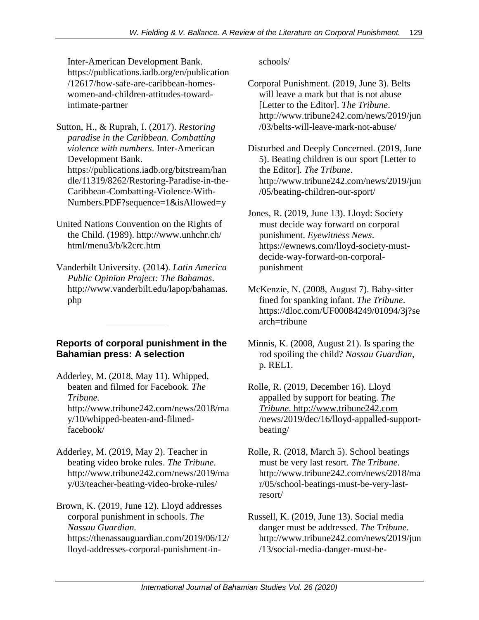Inter-American Development Bank. https://publications.iadb.org/en/publication /12617/how-safe-are-caribbean-homeswomen-and-children-attitudes-towardintimate-partner

Sutton, H., & Ruprah, I. (2017). *Restoring paradise in the Caribbean. Combatting violence with numbers*. Inter-American Development Bank. https://publications.iadb.org/bitstream/han dle/11319/8262/Restoring-Paradise-in-the-Caribbean-Combatting-Violence-With-Numbers.PDF?sequence=1&isAllowed=y

- United Nations Convention on the Rights of the Child. (1989). http://www.unhchr.ch/ html/menu3/b/k2crc.htm
- Vanderbilt University. (2014). *Latin America Public Opinion Project: The Bahamas*. http://www.vanderbilt.edu/lapop/bahamas. php

# **Reports of corporal punishment in the Bahamian press: A selection**

- Adderley, M. (2018, May 11). Whipped, beaten and filmed for Facebook. *The Tribune.*  http://www.tribune242.com/news/2018/ma y/10/whipped-beaten-and-filmedfacebook/
- Adderley, M. (2019, May 2). Teacher in beating video broke rules. *The Tribune*. http://www.tribune242.com/news/2019/ma y/03/teacher-beating-video-broke-rules/

Brown, K. (2019, June 12). Lloyd addresses corporal punishment in schools. *The Nassau Guardian.* https://thenassauguardian.com/2019/06/12/ lloyd-addresses-corporal-punishment-inschools/

- Corporal Punishment. (2019, June 3). Belts will leave a mark but that is not abuse [Letter to the Editor]. *The Tribune*. http://www.tribune242.com/news/2019/jun /03/belts-will-leave-mark-not-abuse/
- Disturbed and Deeply Concerned. (2019, June 5). Beating children is our sport [Letter to the Editor]. *The Tribune*. http://www.tribune242.com/news/2019/jun /05/beating-children-our-sport/

Jones, R. (2019, June 13). Lloyd: Society must decide way forward on corporal punishment. *Eyewitness News*. https://ewnews.com/lloyd-society-mustdecide-way-forward-on-corporalpunishment

- McKenzie, N. (2008, August 7). Baby-sitter fined for spanking infant. *The Tribune*. https://dloc.com/UF00084249/01094/3j?se arch=tribune
- Minnis, K. (2008, August 21). Is sparing the rod spoiling the child? *Nassau Guardian*, p. REL1.
- Rolle, R. (2019, December 16). Lloyd appalled by support for beating*. The Tribune*. [http://www.tribune242.com](http://www.tribune242.com/) /news/2019/dec/16/lloyd-appalled-supportbeating/
- Rolle, R. (2018, March 5). School beatings must be very last resort. *The Tribune*. http://www.tribune242.com/news/2018/ma r/05/school-beatings-must-be-very-lastresort/
- Russell, K. (2019, June 13). Social media danger must be addressed. *The Tribune.* http://www.tribune242.com/news/2019/jun /13/social-media-danger-must-be-